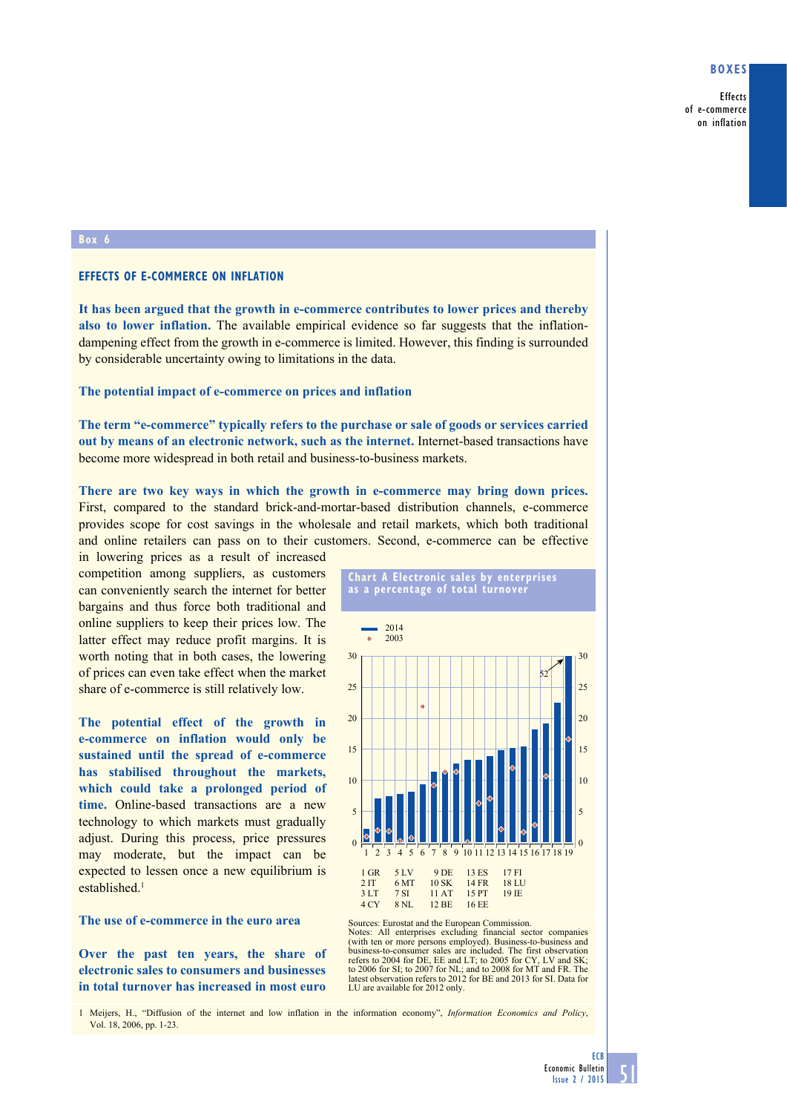## **Boxes**

Effects of e-commerce on inflation

## **Box 6**

## **Effects of e-commerce on inflation**

**It has been argued that the growth in e-commerce contributes to lower prices and thereby**  also to lower inflation. The available empirical evidence so far suggests that the inflationdampening effect from the growth in e-commerce is limited. However, this finding is surrounded by considerable uncertainty owing to limitations in the data.

#### **The potential impact of e-commerce on prices and inflation**

**The term "e-commerce" typically refers to the purchase or sale of goods or services carried out by means of an electronic network, such as the internet.** Internet-based transactions have become more widespread in both retail and business-to-business markets.

**There are two key ways in which the growth in e-commerce may bring down prices.**  First, compared to the standard brick-and-mortar-based distribution channels, e-commerce provides scope for cost savings in the wholesale and retail markets, which both traditional and online retailers can pass on to their customers. Second, e-commerce can be effective

in lowering prices as a result of increased competition among suppliers, as customers can conveniently search the internet for better bargains and thus force both traditional and online suppliers to keep their prices low. The latter effect may reduce profit margins. It is worth noting that in both cases, the lowering of prices can even take effect when the market share of e-commerce is still relatively low.

**The potential effect of the growth in e-commerce on inflation would only be sustained until the spread of e-commerce has stabilised throughout the markets, which could take a prolonged period of time.** Online-based transactions are a new technology to which markets must gradually adjust. During this process, price pressures may moderate, but the impact can be expected to lessen once a new equilibrium is established.<sup>1</sup>

## **The use of e-commerce in the euro area**

**Over the past ten years, the share of electronic sales to consumers and businesses in total turnover has increased in most euro** 



**Chart a electronic sales by enterprises** 



Sources: Eurostat and the European Commission.<br>Notes: All enterprises excluding financial sector companies (with ten or more persons employed). Business-to-business and business-to-consumer sales are included. The first observation refers to 2004 for DE, EE and LT; to 2005 for CY, LV and SK; to 2006 for SI; to 2007 for NL; and to 2008 for MT and FR. The latest observation refers to 2012 for BE and 2013 for SI. Data for LU are available for 2012 only.

1 Meijers, H., "Diffusion of the internet and low inflation in the information economy", *Information Economics and Policy*, Vol. 18, 2006, pp. 1-23.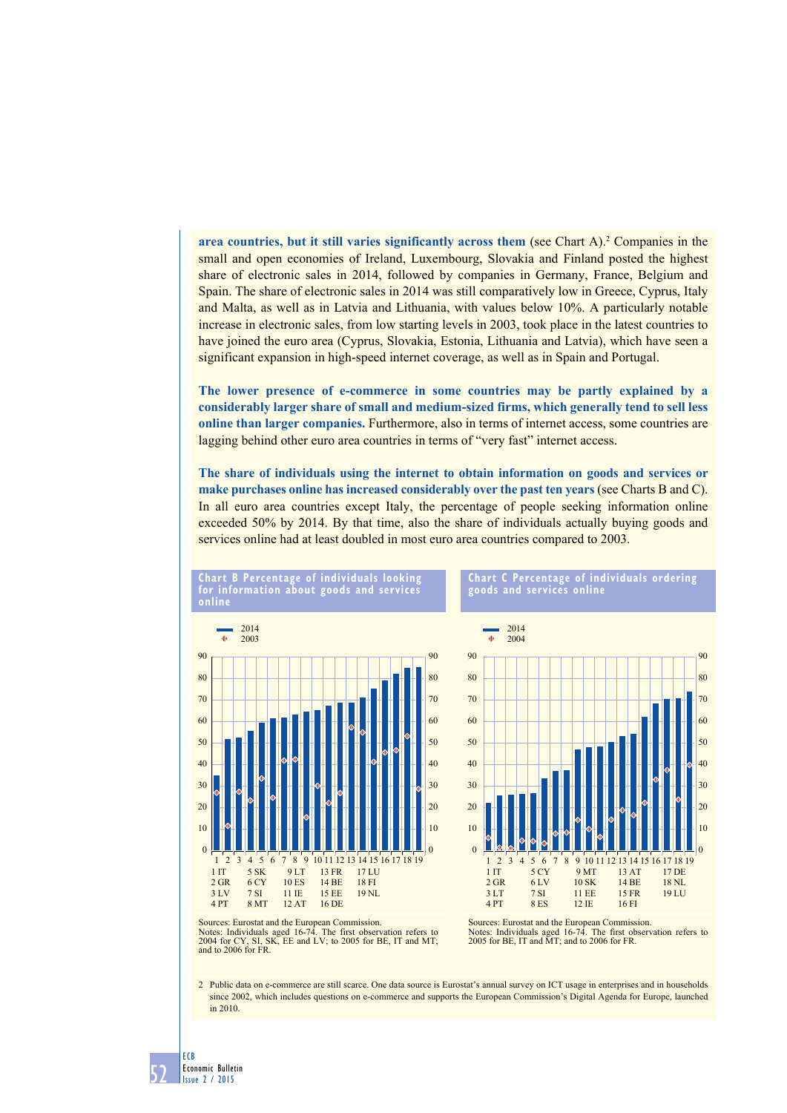**area countries, but it still varies significantly across them** (see Chart A).<sup>2</sup> Companies in the small and open economies of Ireland, Luxembourg, Slovakia and Finland posted the highest share of electronic sales in 2014, followed by companies in Germany, France, Belgium and Spain. The share of electronic sales in 2014 was still comparatively low in Greece, Cyprus, Italy and Malta, as well as in Latvia and Lithuania, with values below 10%. A particularly notable increase in electronic sales, from low starting levels in 2003, took place in the latest countries to have joined the euro area (Cyprus, Slovakia, Estonia, Lithuania and Latvia), which have seen a significant expansion in high-speed internet coverage, as well as in Spain and Portugal.

**The lower presence of e-commerce in some countries may be partly explained by a considerably larger share of small and medium-sized firms, which generally tend to sell less online than larger companies.** Furthermore, also in terms of internet access, some countries are lagging behind other euro area countries in terms of "very fast" internet access.

**The share of individuals using the internet to obtain information on goods and services or make purchases online has increased considerably over the past ten years** (see Charts B and C). In all euro area countries except Italy, the percentage of people seeking information online exceeded 50% by 2014. By that time, also the share of individuals actually buying goods and services online had at least doubled in most euro area countries compared to 2003.



**Chart B percentage of individuals looking** 





Sources: Eurostat and the European Commission.<br>Notes: Individuals aged 16-74. The first observation refers to 2004 for CY, SI, SK, EE and LV; to 2005 for BE, IT and MT; and to 2006 for FR.

2 Public data on e-commerce are still scarce. One data source is Eurostat's annual survey on ICT usage in enterprises and in households since 2002, which includes questions on e-commerce and supports the European Commission's Digital Agenda for Europe, launched in 2010.

52 ECB Economic Bulletin Issue 2 / 2015

Sources: Eurostat and the European Commission.<br>Notes: Individuals aged 16-74. The first observation refers to 2005 for BE, IT and MT; and to 2006 for FR.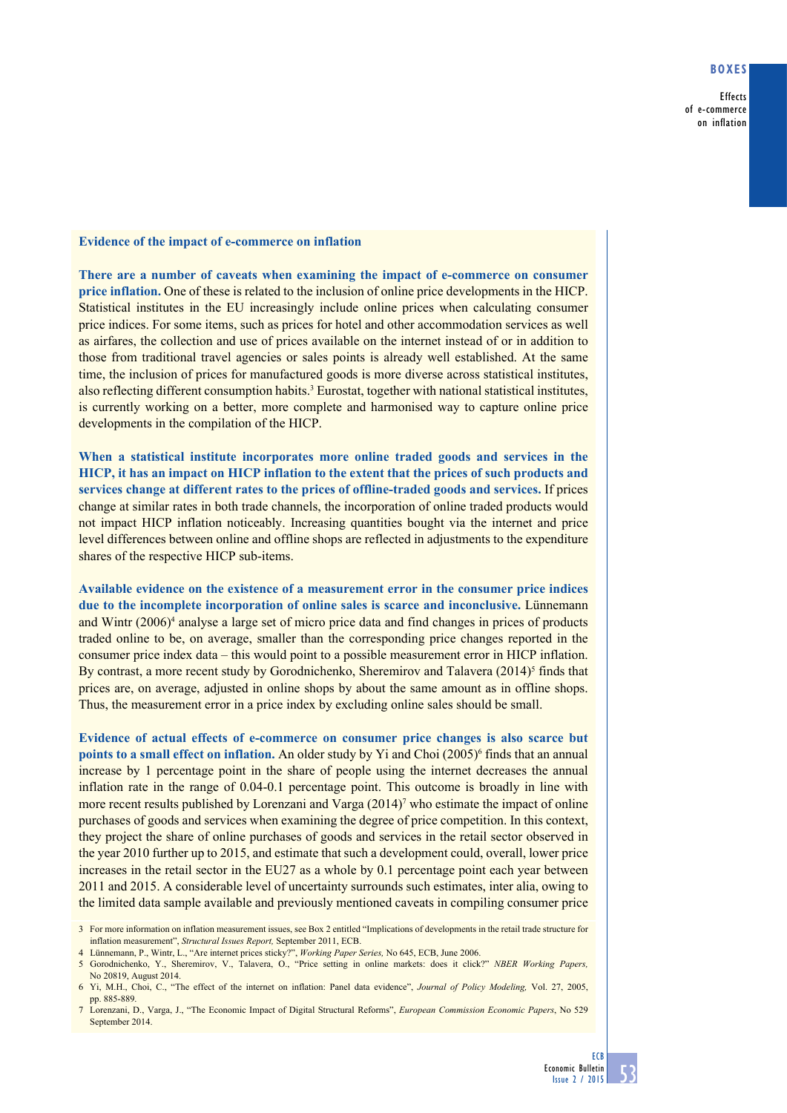## **Boxes**

Effects of e-commerce on inflation

# **Evidence of the impact of e-commerce on inflation**

**There are a number of caveats when examining the impact of e-commerce on consumer price inflation.** One of these is related to the inclusion of online price developments in the HICP. Statistical institutes in the EU increasingly include online prices when calculating consumer price indices. For some items, such as prices for hotel and other accommodation services as well as airfares, the collection and use of prices available on the internet instead of or in addition to those from traditional travel agencies or sales points is already well established. At the same time, the inclusion of prices for manufactured goods is more diverse across statistical institutes, also reflecting different consumption habits.<sup>3</sup> Eurostat, together with national statistical institutes, is currently working on a better, more complete and harmonised way to capture online price developments in the compilation of the HICP.

**When a statistical institute incorporates more online traded goods and services in the HICP, it has an impact on HICP inflation to the extent that the prices of such products and services change at different rates to the prices of offline-traded goods and services.** If prices change at similar rates in both trade channels, the incorporation of online traded products would not impact HICP inflation noticeably. Increasing quantities bought via the internet and price level differences between online and offline shops are reflected in adjustments to the expenditure shares of the respective HICP sub-items.

**Available evidence on the existence of a measurement error in the consumer price indices due to the incomplete incorporation of online sales is scarce and inconclusive.** Lünnemann and Wintr (2006)<sup>4</sup> analyse a large set of micro price data and find changes in prices of products traded online to be, on average, smaller than the corresponding price changes reported in the consumer price index data – this would point to a possible measurement error in HICP inflation. By contrast, a more recent study by Gorodnichenko, Sheremirov and Talavera  $(2014)^5$  finds that prices are, on average, adjusted in online shops by about the same amount as in offline shops. Thus, the measurement error in a price index by excluding online sales should be small.

**Evidence of actual effects of e-commerce on consumer price changes is also scarce but**  points to a small effect on inflation. An older study by Yi and Choi (2005)<sup>6</sup> finds that an annual increase by 1 percentage point in the share of people using the internet decreases the annual inflation rate in the range of 0.04-0.1 percentage point. This outcome is broadly in line with more recent results published by Lorenzani and Varga  $(2014)$ <sup>7</sup> who estimate the impact of online purchases of goods and services when examining the degree of price competition. In this context, they project the share of online purchases of goods and services in the retail sector observed in the year 2010 further up to 2015, and estimate that such a development could, overall, lower price increases in the retail sector in the EU27 as a whole by 0.1 percentage point each year between 2011 and 2015. A considerable level of uncertainty surrounds such estimates, inter alia, owing to the limited data sample available and previously mentioned caveats in compiling consumer price

- 4 Lünnemann, P., Wintr, L., "Are internet prices sticky?", *Working Paper Series,* No 645, ECB, June 2006.
- 5 Gorodnichenko, Y., Sheremirov, V., Talavera, O., "Price setting in online markets: does it click?" *NBER Working Papers,* No 20819, August 2014.

<sup>3</sup> For more information on inflation measurement issues, see Box 2 entitled "Implications of developments in the retail trade structure for inflation measurement", *Structural Issues Report,* September 2011, ECB.

<sup>6</sup> Yi, M.H., Choi, C., "The effect of the internet on inflation: Panel data evidence", *Journal of Policy Modeling,* Vol. 27, 2005, pp. 885-889.

<sup>7</sup> Lorenzani, D., Varga, J., "The Economic Impact of Digital Structural Reforms", *European Commission Economic Papers*, No 529 September 2014.